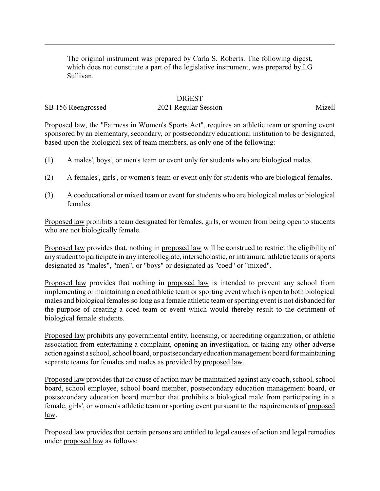The original instrument was prepared by Carla S. Roberts. The following digest, which does not constitute a part of the legislative instrument, was prepared by LG Sullivan.

## **DIGEST**

## SB 156 Reengrossed 2021 Regular Session Mizell

Proposed law, the "Fairness in Women's Sports Act", requires an athletic team or sporting event sponsored by an elementary, secondary, or postsecondary educational institution to be designated, based upon the biological sex of team members, as only one of the following:

- (1) A males', boys', or men's team or event only for students who are biological males.
- (2) A females', girls', or women's team or event only for students who are biological females.
- (3) A coeducational or mixed team or event for students who are biological males or biological females.

Proposed law prohibits a team designated for females, girls, or women from being open to students who are not biologically female.

Proposed law provides that, nothing in proposed law will be construed to restrict the eligibility of anystudent to participate in any intercollegiate, interscholastic, or intramural athletic teams or sports designated as "males", "men", or "boys" or designated as "coed" or "mixed".

Proposed law provides that nothing in proposed law is intended to prevent any school from implementing or maintaining a coed athletic team or sporting event which is open to both biological males and biological females so long as a female athletic team or sporting event is not disbanded for the purpose of creating a coed team or event which would thereby result to the detriment of biological female students.

Proposed law prohibits any governmental entity, licensing, or accrediting organization, or athletic association from entertaining a complaint, opening an investigation, or taking any other adverse action against a school, school board, or postsecondaryeducation management board for maintaining separate teams for females and males as provided by proposed law.

Proposed law provides that no cause of action may be maintained against any coach, school, school board, school employee, school board member, postsecondary education management board, or postsecondary education board member that prohibits a biological male from participating in a female, girls', or women's athletic team or sporting event pursuant to the requirements of proposed law.

Proposed law provides that certain persons are entitled to legal causes of action and legal remedies under proposed law as follows: